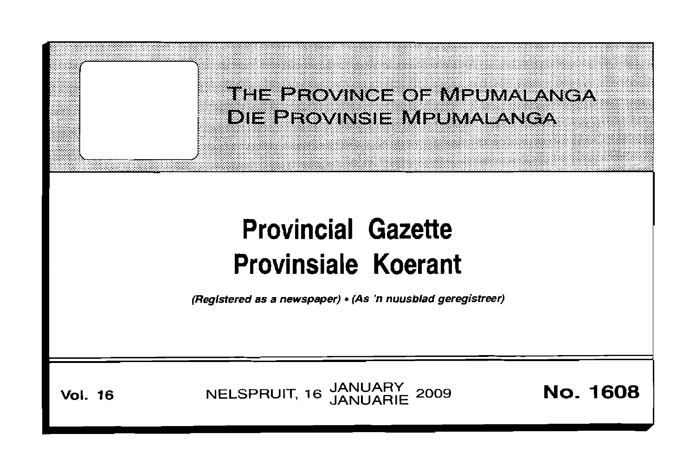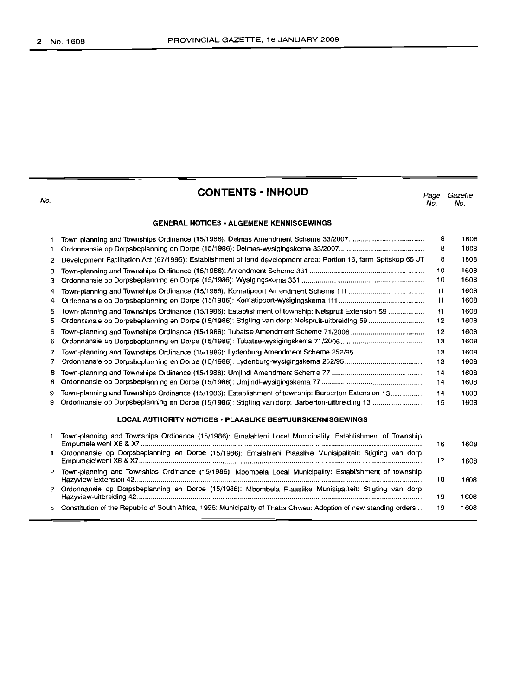| No.                                                       | <b>CONTENTS • INHOUD</b>                                                                                         | Page<br>No. | Gazette<br>No. |
|-----------------------------------------------------------|------------------------------------------------------------------------------------------------------------------|-------------|----------------|
|                                                           | <b>GENERAL NOTICES · ALGEMENE KENNISGEWINGS</b>                                                                  |             |                |
| 1<br>1                                                    |                                                                                                                  | 8<br>8      | 1608<br>1608   |
| 2                                                         | Development Facilitation Act (67/1995): Establishment of land development area: Portion 16, farm Spitskop 65 JT  | 8           | 1608           |
| з<br>3                                                    |                                                                                                                  | 10<br>10    | 1608<br>1608   |
| 4                                                         |                                                                                                                  | 11          | 1608           |
| 4                                                         |                                                                                                                  | 11          | 1608           |
| 5<br>5                                                    | Town-planning and Townships Ordinance (15/1986): Establishment of township: Nelspruit Extension 59               | 11<br>12    | 1608<br>1608   |
| 6                                                         |                                                                                                                  | 12          | 1608           |
| 6                                                         |                                                                                                                  | 13          | 1608           |
| 7                                                         |                                                                                                                  | 13          | 1608           |
| 7                                                         |                                                                                                                  | 13          | 1608           |
| 8<br>8                                                    |                                                                                                                  | 14          | 1608           |
|                                                           |                                                                                                                  | 14          | 1608           |
| 9<br>9                                                    | Town-planning and Townships Ordinance (15/1986): Establishment of township: Barberton Extension 13               | 14<br>15    | 1608<br>1608   |
| LOCAL AUTHORITY NOTICES · PLAASLIKE BESTUURSKENNISGEWINGS |                                                                                                                  |             |                |
| 1                                                         | Town-planning and Townships Ordinance (15/1986): Emalahleni Local Municipality: Establishment of Township:       | 16          | 1608           |
|                                                           | Ordonnansie op Dorpsbeplanning en Dorpe (15/1986): Emalahleni Plaaslike Munisipaliteit: Stigting van dorp:       | 17          | 1608           |
| 2                                                         | Town-planning and Townships Ordinance (15/1986): Mbombela Local Municipality: Establishment of township:         | 18          | 1608           |
|                                                           | 2 Ordonnansie op Dorpsbeplanning en Dorpe (15/1986): Mbombela Plaaslike Munisipaliteit: Stigting van dorp:       | 19          | 1608           |
| 5                                                         | Constitution of the Republic of South Africa, 1996: Municipality of Thaba Chweu: Adoption of new standing orders | 19          | 1608           |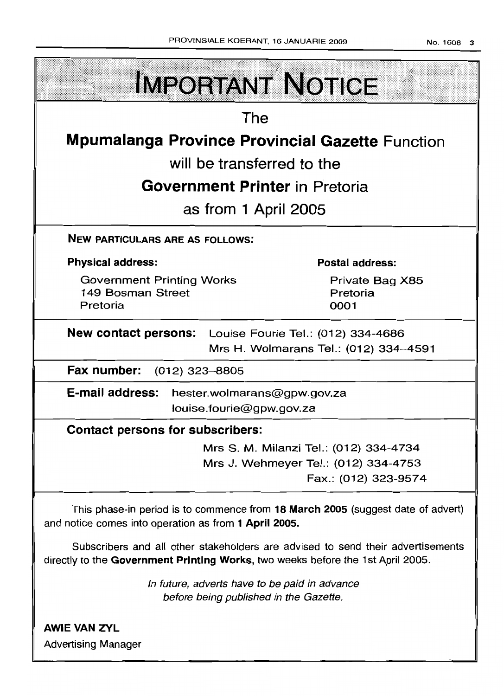| PROVINSIALE KOERANT, 16 JANUARIE 2009                                             | No. 1608 3                            |  |
|-----------------------------------------------------------------------------------|---------------------------------------|--|
| <b>IMPORTANT NOTICE</b>                                                           |                                       |  |
| The                                                                               |                                       |  |
| <b>Mpumalanga Province Provincial Gazette Function</b>                            |                                       |  |
| will be transferred to the                                                        |                                       |  |
| <b>Government Printer</b> in Pretoria                                             |                                       |  |
| as from 1 April 2005                                                              |                                       |  |
| <b>NEW PARTICULARS ARE AS FOLLOWS:</b>                                            |                                       |  |
| <b>Physical address:</b>                                                          | Postal address:                       |  |
| <b>Government Printing Works</b><br>149 Bosman Street<br>Pretoria                 | Private Bag X85<br>Pretoria<br>0001   |  |
| New contact persons: Louise Fourie Tel.: (012) 334-4686                           |                                       |  |
|                                                                                   | Mrs H. Wolmarans Tel.: (012) 334-4591 |  |
| Fax number: (012) 323-8805                                                        |                                       |  |
| <b>E-mail address:</b><br>hester.wolmarans@gpw.gov.za<br>louise.fourie@gpw.gov.za |                                       |  |
| <b>Contact persons for subscribers:</b>                                           |                                       |  |

Mrs S. M. Milanzi Tel.: (012) 334-4734 Mrs J. Wehmeyer Tel.: (012) 334-4753 Fax.: (012) 323-9574

This phase-in period is to commence from **18 March 2005** (suggest date of advert) and notice comes into operation as from **1 April 2005.**

Subscribers and all other stakeholders are advised to send their advertisements directly to the **Government Printing Works,** two weeks before the 1st April 2005.

> In future, adverts have to be paid in advance before being published in the Gazette.

**AWIE VAN ZVL** Advertising Manager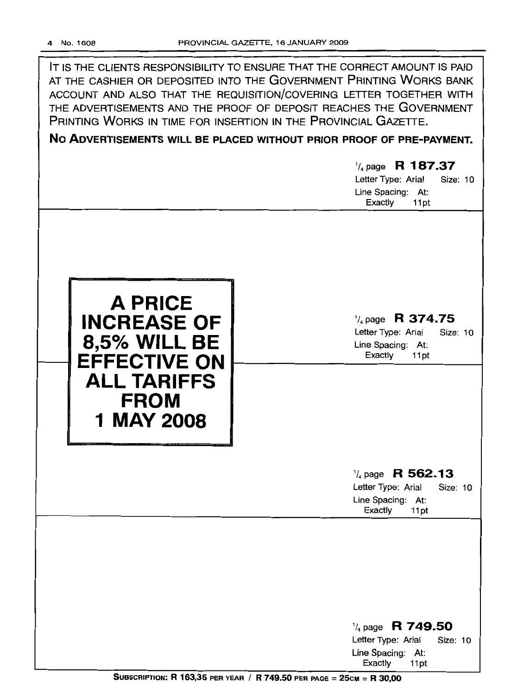IT IS THE CLIENTS RESPONSIBILITY TO ENSURE THAT THE CORRECT AMOUNT IS PAID AT THE CASHIER OR DEPOSITED INTO THE GOVERNMENT PRINTING WORKS BANK ACCOUNT AND ALSO THAT THE REQUISITION/COVERING LETTER TOGETHER WITH THE ADVERTISEMENTS AND THE PROOF OF DEPOSIT REACHES THE GOVERNMENT PRINTING WORKS IN TIME FOR INSERTION IN THE PROVINCIAL GAZETTE.

**No ADVERTISEMENTS WILL BE PLACED WITHOUT PRIOR PROOF OF PRE-PAYMENT.**

# '/4 page R **187.37** Letter Type: Arial Size: 10 Line Spacing: At:<br>Exactly 11pt Exactly '/4 page **R 374.75** Letter Type: Arial Size; 10 Line Spacing: At: Exactly 11pt **A PRICE INCREASE OF 8,5% WILL BE EFFECTIVE ON ALL TARIFFS FROM 1** MAY 2008 '/4 page **R 562.13** Letter Type: Arial Size: 10

Line Spacing: At:<br>Exactly 11pt Exactly

'/4 page **R 749.50** Letter Type: Arial Size: 10 Line Spacing: At: Exactly 11 pt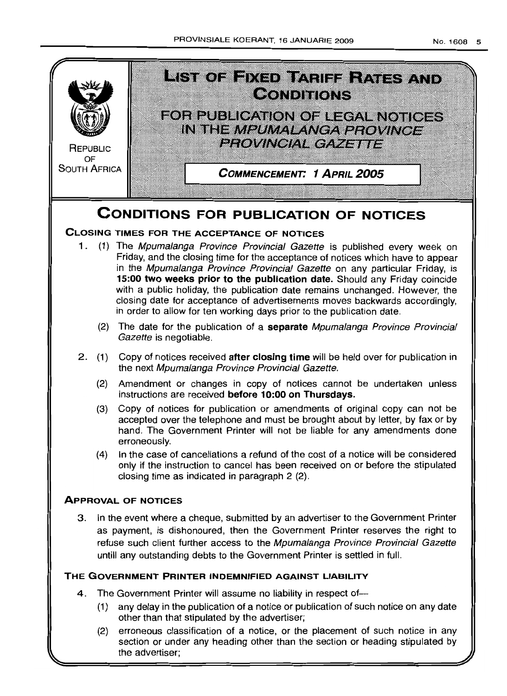

# **CONDITIONS FOR PUBLICATION OF NOTICES**

# **CLOSING TIMES FOR THE ACCEPTANCE OF NOTICES**

- 1. (1) The Mpumalanga Province Provincial Gazette is published every week on Friday, and the closing time for the acceptance of notices which have to appear in the Mpumalanga Province Provincial Gazette on any particular Friday, is **15:00 two weeks prior to the publication date.** Should any Friday coincide with a public holiday, the publication date remains unchanged. However, the closing date for acceptance of advertisements moves backwards accordingly, in order to allow for ten working days prior to the publication date
	- (2) The date for the publication of a **separate** Mpumalanga Province Provincial Gazette is negotiable.
- 2 (1) Copy of notices received **after closing time** will be held over for publication in the next Mpumalanga Province Provincial Gazette.
	- (2) Amendment or changes in copy of notices cannot be undertaken unless instructions are received **before 10:00 on Thursdays.**
	- (3) Copy of notices for publication or amendments of original copy can not be accepted over the telephone and must be brought about by letter, by fax or by hand. The Government Printer will not be liable for any amendments done erroneously.
	- (4) In the case of cancellations a refund of the cost of a notice will be considered only if the instruction to cancel has been received on or before the stipulated closing time as indicated in paragraph 2 (2)

# **ApPROVAL OF NOTICES**

3 In the event where a cheque, submitted by an advertiser to the Government Printer as payment, is dishonoured, then the Government Printer reserves the right to refuse such client further access to the Mpumalanga Province Provincial Gazette untill any outstanding debts to the Government Printer is settled in full

# **THE GOVERNMENT PRINTER INDEMNIFIED AGAINST LIABILITY**

- 4. The Government Printer will assume no liability in respect of--
	- (1) any delay in the publication of a notice or publication of such notice on any date other than that stipulated by the advertiser;
	- (2) erroneous classification of a notice, or the placement of such notice in any section or under any heading other than the section or heading stipulated by the advertiser;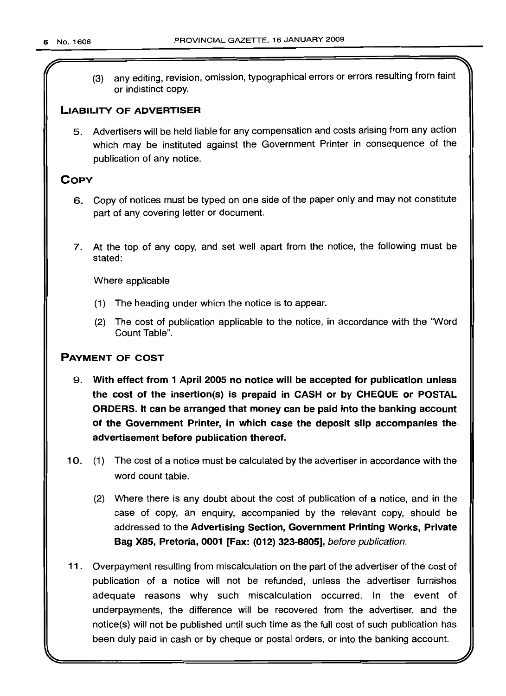r

(3) any editing, revision, omission, typographical errors or errors resulting from faint or indistinct copy.

# LIABILITY OF ADVERTISER

5. Advertisers will be held liable for any compensation and costs arising from any action which may be instituted against the Government Printer in consequence of the publication of any notice.

# **COPY**

- 6. Copy of notices must be typed on one side of the paper only and may not constitute part of any covering letter or document.
- 7. At the top of any copy, and set well apart from the notice, the following must be stated:

Where applicable

- (1) The heading under which the notice is to appear.
- (2) The cost of publication applicable to the notice, in accordance with the "Word Count Table".

# PAYMENT OF COST

- 9. With effect from 1 April 2005 no notice will be accepted for publication unless the cost of the insertion(s) is prepaid in CASH or by CHEQUE or POSTAL ORDERS. It can be arranged that money can be paid into the banking account of the Government Printer, in which case the deposit slip accompanies the advertisement before publication thereof.
- 10. (1) The cost of a notice must be calculated by the advertiser in accordance with the word count table.
	- (2) Where there is any doubt about the cost of publication of a notice, and in the case of copy, an enquiry, accompanied by the relevant copy, should be addressed to the Advertising Section, Government Printing Works, Private Bag X85, Pretoria, 0001 [Fax: (012) 323-8805], before publication.
- 11. Overpayment resulting from miscalculation on the part of the advertiser of the cost of publication of a notice will not be refunded, unless the advertiser furnishes adequate reasons why such miscalculation occurred. In the event of underpayments, the difference will be recovered from the advertiser, and the notice(s) will not be published until such time as the full cost of such publication has been duly paid in cash or by cheque or postal orders, or into the banking account.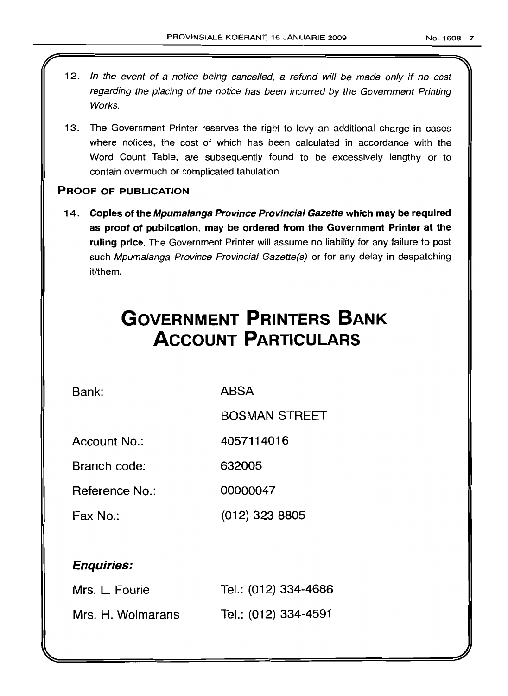- 12. In the event of a notice being cancelled, a refund will be made only if no cost regarding the placing of the notice has been incurred by the Government Printing Works.
- 13. The Government Printer reserves the right to levy an additional charge in cases where notices, the cost of which has been calculated in accordance with the Word Count Table, are subsequently found to be excessively lengthy or to contain overmuch or complicated tabulation.

# PROOF OF PUBLICATION

14. Copies of the Mpumalanga Province Provincial Gazette which may be required as proof of publication, may be ordered from the Government Printer at the ruling price. The Government Printer will assume no liability for any failure to post such Mpumalanga Province Provincial Gazette(s) or for any delay in despatching it/them.

# **GOVERNMENT PRINTERS BANK ACCOUNT PARTICULARS**

Bank: ABSA

BOSMAN STREET

Account No.: 4057114016

Branch code: 632005

Reference No.: 00000047

Fax No.: (012) 323 8805

# Enquiries:

| Mrs. L. Fourie    | Tel.: (012) 334-4686 |
|-------------------|----------------------|
| Mrs. H. Wolmarans | Tel.: (012) 334-4591 |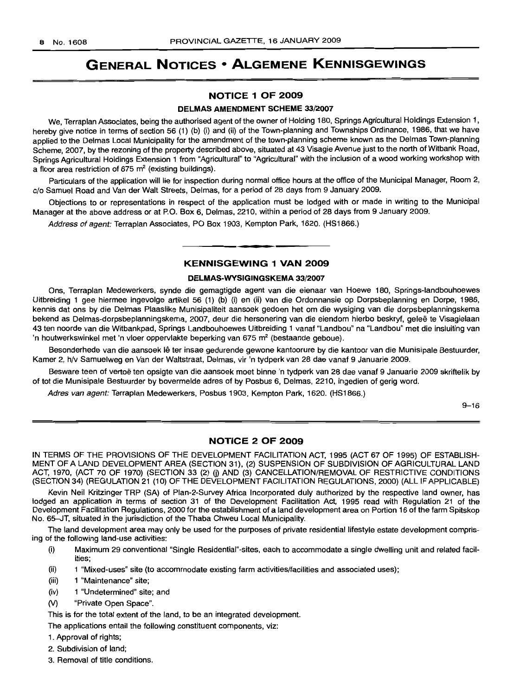# **GENERAL NOTICES • ALGEMENE KENNISGEWINGS**

# **NOTICE 1 OF 2009**

## **DELMAS AMENDMENT SCHEME** 33/2007

We, Terraplan Associates, being the authorised agent of the owner of Holding 180, Springs Agricultural Holdings Extension 1, hereby give notice in terms of section 56 (1) (b) (i) and (ii) of the Town-planning and Townships Ordinance, 1986, that we have applied to the Delmas Local Municipality for the amendment of the town-planning scheme known as the Delmas Town-planning Scheme, 2007, by the rezoning of the property described above, situated at 43 Visagie Avenue just to the north of Witbank Road, Springs Agricultural Holdings Extension 1 from "Agricultural" to "Agricultural" with the inclusion of a wood working workshop with a floor area restriction of  $675 \text{ m}^2$  (existing buildings).

Particulars of the application will lie for inspection during normal office hours at the office of the Municipal Manager, Room 2, c/o Samuel Road and Van der Walt Streets, Delmas, for a period of 28 days from 9 January 2009.

Objections to or representations in respect of the application must be lodged with or made in writing to the Municipal Manager at the above address or at P.O. Box 6, Delmas, 2210, within a period of 28 days from 9 January 2009.

Address of agent: Terraplan Associates, PO Box 1903, Kempton Park, 1620. (HS1866.)

# **KENNISGEWING 1 VAN 2009**

**• •**

#### **DELMAS-WYSIGINGSKEMA** 33/2007

Ons, Terraplan Medewerkers, synde die gemagtigde agent van die eienaar van Hoewe 180, Springs-Iandbouhoewes Uitbreiding 1 gee hiermee ingevolge artikel 56 (1) (b) (i) en (ii) van die Ordonnansie op Dorpsbeplanning en Dorpe, 1986, kennis dat ons by die Delmas Plaaslike Munisipaliteit aansoek gedoen het om die wysiging van die dorpsbeplanningskema bekend as Delmas-dorpsbeplanningskema, 2007, deur die hersonering van die eiendom hierbo beskryf, geleë te Visagielaan 43 ten noorde van die Witbankpad, Springs Landbouhoewes Uitbreiding 1 vanaf "Landbou" na "Landbou" met die insluiting van 'n houtwerkswinkel met 'n vloer oppervlakte beperking van 675 m<sup>2</sup> (bestaande geboue).

Besonderhede van die aansoek lê ter insae gedurende gewone kantoorure by die kantoor van die Munisipale Bestuurder, Kamer 2, h/v Samuelweg en Van der Waltstraat, Delmas, vir 'n tydperk van 28 dae vanaf 9 Januarie 2009.

Besware teen of vertoë ten opsigte van die aansoek moet binne 'n tydperk van 28 dae vanaf 9 Januarie 2009 skriftelik by of tot die Munisipale Bestuurder by bovermelde adres of by Posbus 6, Delmas, 2210, ingedien of gerig word.

Adres van agent: Terraplan Medewerkers, Posbus 1903, Kempton Park, 1620. (HS1866.)

 $9 - 16$ 

#### **NOTICE 2 OF 2009**

IN TERMS OF THE PROVISIONS OF THE DEVELOPMENT FACILITATION ACT, 1995 (ACT 67 OF 1995) OF ESTABLISH-MENT OF A LAND DEVELOPMENT AREA (SECTION 31), (2) SUSPENSION OF SUBDIVISION OF AGRICULTURAL LAND ACT, 1970, (ACT 70 OF 1970) (SECTION 33 (2) (j) AND (3) CANCELLATION/REMOVAL OF RESTRICTIVE CONDITIONS (SECTION 34) (REGULATION 21 (10) OF THE DEVELOPMENT FACILITATION REGULATIONS, 2000) (ALL IF APPLICABLE)

Kevin Neil Kritzinger TRP (SA) of Plan-2-Survey Africa Incorporated duly authorized by the respective land owner, has lodged an application in terms of section 31 of the Development Facilitation Act, 1995 read with Regulation 21 of the Development Facilitation Regulations, 2000 for the establishment of a land development area on Portion 16 of the farm Spitskop No. 65-JT, situated in the jurisdiction of the Thaba Chweu Local Municipality.

The land development area may only be used for the purposes of private residential lifestyle estate development comprising of the following land-use activities:

- (i) Maximum 29 conventional "Single Residential"-sites, each to accommodate a single dwelling unit and related facilities;
- (ii) 1 "Mixed-uses" site (to accommodate existing farm activities/facilities and associated uses);
- (iii) 1 "Maintenance" site;
- (iv) 1 "Undetermined" site; and
- M "Private Open Space".

This is for the total extent of the land, to be an integrated development.

The applications entail the following constituent components, viz:

- 1. Approval of rights;
- 2. Subdivision of land;
- 3. Removal of title conditions.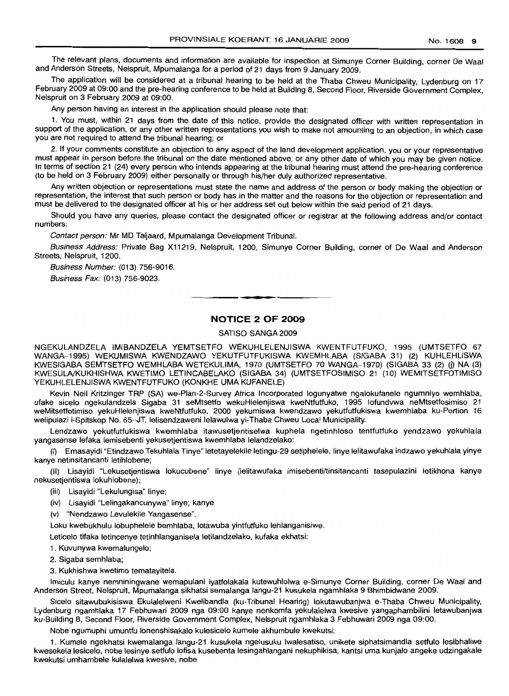The relevant plans, documents and information are available for inspection at Simunye Corner Building, corner De Waal and Anderson Streets, Nelspruit, Mpumalanga for a period of 21 days from 9 January 2009.

The application will be considered at a tribunal hearing to be held at the Thaba Chweu Municipality, Lydenburg on 17 February 2009 at 09:00 and the pre-hearing conference to be held at Building 8, Second Floor, Riverside Government Complex, Nelspruit on 3 February 2009 at 09:00.

Any person having an interest in the application should please note that:

1. You must, within 21 days from the date of this notice, provide the designated officer with written representation in support of the application, or any other written representations you wish to make not amounting to an objection, in which case you are not required to attend the tribunal hearing; or

2. If your comments constitute an objection to any aspect of the land development application, you or your representative must appear in person before the tribunal on the date mentioned above, or any other date of which you may be given notice. In terms of section 21 (24) every person who intends appearing at the tribunal hearing must attend the pre-hearing conference (to be held on 3 February 2009) either personally or through his/her duly authorized representative.

Any written objection or representations must state the name and address of the person or body making the objection or representation, the interest that such person or body has in the matter and the reasons for the objection or representation and must be delivered to the designated officer at his or her address set out below within the said period of 21 days.

Should you have any queries, please contact the designated officer or registrar at the following address and/or contact numbers:

Contact person: Mr MD Taljaard, Mpumalanga Development Tribunal.

Business Address: Private Bag X11219, Nelspruit, 1200, Simunye Corner Building, corner of De Waal and Anderson Streets, Nelspruit, 1200.

Business Number: (013) 756-9016.

Business Fax: (013) 756-9023.

# **NOTICE 2 OF 2009**

**• I**

SATISO SANGA 2009

NGEKULANDZELA IMIBANDZELA YEMTSETFO WEKUHLELENJISWA KWENTFUTFUKO, 1995 (UMTSETFO 67 WANGA-1995) WEKUMISWA KWENDZAWO YEKUTFUTFUKISWA KWEMHLABA (SIGABA 31) (2) KUHLEHLISWA KWESIGABA SEMTSETFO WEMHLABA WETEKULlMA, 1970 (UMTSETFO 70 WANGA-1970) (SIGABA 33 (2) (j) NA (3) KWESULA/KUKHISHWA KWETIMO LETINCABELAKO (SIGABA 34) (UMTSETFOSIMISO 21 (10) WEMITSETFOTIMISO YEKUHLELENJISWA KWENTFUTFUKO (KONKHE UMA KUFANELE)

Kevin Neil Kritzinger TRP (SA) we-Plan-2-Survey Africa Incorporated logunyatwe ngalokufanele ngumniyo wemhlaba, ufake sicelo ngekulandzela Sigaba 31 seMtsetfo wekuHlelenjiswa kweNtfutfuko, 1995 lofundvwa neMtsetfosimiso 21 weMitsetfotimiso yekuHlelenjiswa kweNtfutfuko, 2000 yekumiswa kwendzawo yekutfutfukiswa kwemhlaba ku-Portion 16 welipulazi i-Spitskop No. 65-JT, lelisendzaweni lelawulwa yi-Thaba Chweu Local Municipality.

Lendzawo yekutfutfukiswa kwemhlaba itawusetjentiselwa kuphela ngetinhloso tentfutfuko yendzawo yekuhlala yangasense lefaka lemisebenti yekusetjentiswa kwemhlaba lelandzelako:

(I) Emasayidi "Etindzawo Tekuhlala Tinye" letetayelekile letingu-29 setiphelele, linye lelitawufaka indzawo yekuhlala yinye kanye netinsitancanti letihlobene;

(II) Lisayidi "Lekusetjentiswa lokucubene" linye (Ielitawufaka imtsebenti/tinsitancanti tasepulazini letikhona kanye nekusetjentiswa lokuhlobene);

(iii) Lisayidi "Lekulungisa" linye;

(iv) Lisayidi "Lelingakancunywa" Iinye; kanye

(v) "Nendzawo Levulekile Yangasense".

Loku kwebukhulu lobuphelele bemhlaba, lotawuba yintfutfuko lehlanganisiwe.

Leticelo tifaka letincenye tetinhlanganisela letilandzelako, kufaka ekhatsi:

1. Kuvunywa kwemalungelo;

2. Sigaba semhlaba;

3. Kukhishwa kwetimo tematayitela.

Imiculu kanye nemniningwane wemapulani iyatfolakala kutewuhlolwa e-Simunye Corner Building, corner De Waal and Anderson Street, Nelspruit, Mpumalanga sikhatsi semalanga langu-21 kusukela ngamhlaka 9 Bhimbidwane 2009.

Sicelo sitawubukisiswa Ekulalelweni Kwelibandla (ku-Tribunal Hearing) lokutawubanjwa e-Thaba Chweu Municipality, Lydenburg ngamhlaka 17 Febhuwari 2009 nga 09:00 kanye nenkomfa yekulalelwa kwesive yangaphambilini letawubanjwa ku-Building 8, Second Floor, Riverside Government Complex, Nelspruit ngamhlaka 3 Febhuwari 2009 nga 09:00.

Nobe ngumuphi umuntfu lonenshisakalo kulesicelo kumele akhumbule kwekutsi:

1. Kumele ngekhatsi kwemalanga langu-21 kusukela ngelusuku Iwalesatiso, unikete siphatsimandla setfulo lesibhaliwe kwesekela lesicelo, nabe lesinye setfulo lofisa kusebenta lesingahlangani nekuphikisa, kantsi uma kunjalo angeke udzingakale kwekutsi umhambele kulalelwa kwesive, nobe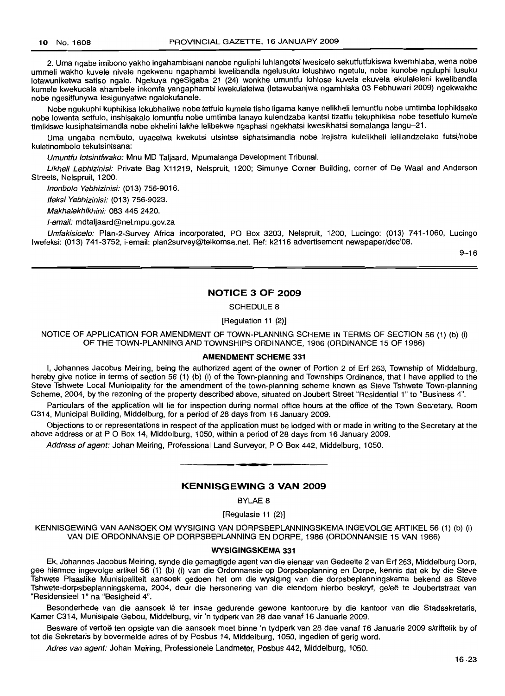2. Uma ngabe imibono yakho ingahambisani nanobe nguliphi luhlangotsi Iwesicelo sekutfutfukiswa kwemhlaba, wena nobe ummeli wakho kuvele nivele ngekwenu ngaphambi kwelibandla ngelusuku lolushiwo ngetulu, nobe kunobe nguluphi lusuku lotawuniketwa satiso ngalo. Ngekuya ngeSigaba 21 (24) wonkhe umuntfu lohlose kuvela ekuvela ekulaleleni kwelibandla kumele kwekucala ahambele inkomfa yangaphambi kwekulalelwa (Ietawubanjwa ngamhlaka 03 Febhuwari 2009) ngekwakhe nobe ngesitfunywa lesigunyatwe ngalokufanele.

Nobe ngukuphi kuphikisa lokubhaliwe nobe tetfulo kumele tisho ligama kanye nelikheli lemuntfu nobe umtimba lophikisako nobe lowenta setfulo, inshisakalo lomuntfu nobe umtimba lanayo kulendzaba kantsi tizatfu tekuphikisa nobe tesetfulo kumele timikiswe kusiphatsimandla nobe ekhelini lakhe lelibekwe ngaphasi ngekhatsi kwesikhatsi semalanga langu-21.

Uma ungaba nemibuto, uyacelwa kwekutsi utsintse siphatsimandla nobe irejistra kulelikheli lelilandzelako futsi/nobe kuletinombolo tekutsintsana:

Umuntfu lotsintfwako: Mnu MD Taljaard, Mpumalanga Development Tribunal.

Likheli Lebhizinisi: Private Bag X11219, Nelspruit, 1200; Simunye Corner Building, corner of De Waal and Anderson Streets, Nelspruit, 1200.

Inonbolo Yebhizinisi: (013) 756-9016.

Ifeksi Yebhizinisi: (013) 756-9023.

Makhalekhikhini: 083 445 2420.

I-email: mdtaljaard@nel.mpu.gov.za

Umfakisicelo: Plan-2-Survey Africa Incorporated, PO Box 3203, Nelspruit, 1200, Lucingo: (013) 741-1060, Lucingo Iwefeksi: (013) 741-3752, i-email: plan2survey@telkomsa.net. Ref: k2116 advertisement newspaper/dec'08.

9-16

#### **NOTICE 3 OF 2009**

SCHEDULE 8

[Regulation 11 (2)]

NOTICE OF APPLICATION FOR AMENDMENT OF TOWN-PLANNING SCHEME IN TERMS OF SECTION 56 (1) (b) (i) OF THE TOWN-PLANNING AND TOWNSHIPS ORDINANCE, 1986 (ORDINANCE 15 OF 1986)

### **AMENDMENT SCHEME** 331

I, Johannes Jacobus Meiring, being the authorized agent of the owner of Portion 2 of Erf 263, Township of Middelburg, hereby give notice in terms of section 56 (1) (b) (i) of the Town-planning and Townships Ordinance, that I have applied to the Steve Tshwete Local Municipality for the amendment of the town-planning scheme known as Steve Tshwete Town-planning Scheme, 2004, by the rezoning of the property described above, situated on Joubert Street "Residential 1" to "Business 4".

Particulars of the application will lie for inspection during normal office hours at the office of the Town Secretary, Room C314, Municipal Building, Middelburg, for a period of 28 days from 16 January 2009.

Objections to or representations in respect of the application must be lodged with or made in writing to the Secretary at the above address or at P O Box 14, Middelburg, 1050, within a period of 28 days from 16 January 2009.

Address of agent: Johan Meiring, Professional Land Surveyor, P O Box 442, Middelburg, 1050.

# **KENNISGEWING 3 VAN 2009**

**.-**

BYLAE 8

[Regulasie 11 (2)]

KENNISGEWING VAN AANSOEK OM WYSIGING VAN DORPSBEPLANNINGSKEMA INGEVOLGE ARTIKEL 56 (1) (b) (i) VAN DIE ORDONNANSIE OP DORPSBEPLANNING EN DORPE, 1986 (ORDONNANSIE 15 VAN 1986)

#### **WYSIGINGSKEMA** 331

Ek, Johannes Jacobus Meiring, synde die gemagtigde agent van die eienaar van Gedeelte 2 van Erf 263, Middelburg Dorp, gee hiermee ingevolge artikel 56 (1) (b) (i) van die Ordonnansie op Dorpsbeplanning en Dorpe, kennis dat ek by die Steve Tshwete Plaaslike Munisipaliteit aansoek gedoen het om die wysiging van die dorpsbeplanningskema bekend as Steve Tshwete-dorpsbeplanningskema, 2004, deur die hersonering van die eiendom hierbo beskryf, gelee te Joubertstraat van "Residensieel 1" na "Besigheid 4".

Besonderhede van die aansoek lê ter insae gedurende gewone kantoorure by die kantoor van die Stadsekretaris, Kamer C314, Munisipale Gebou, Middelburg, vir 'n tydperk van 28 dae vanaf 16 Januarie 2009.

Besware of vertoë ten opsigte van die aansoek moet binne 'n tydperk van 28 dae vanaf 16 Januarie 2009 skriftelik by of tot die Sekretaris by bovermelde adres of by Posbus 14, Middelburg, 1050, ingedien of gerig word.

Adres van agent: Johan Meiring, Professionele Landmeter, Posbus 442, Middelburg, 1050.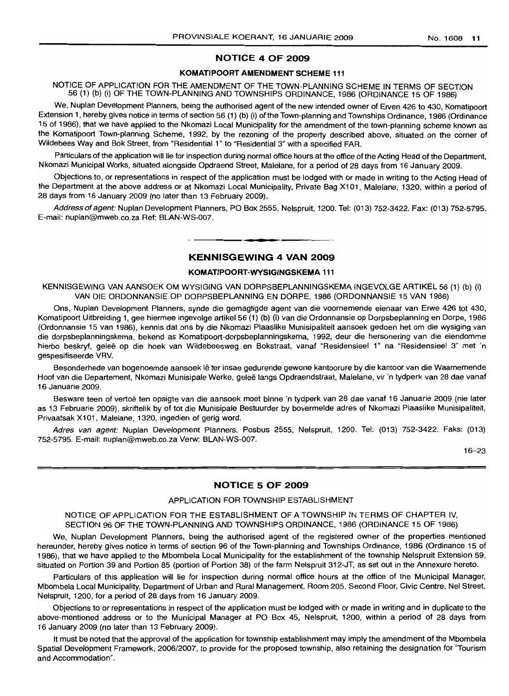# **NOTICE 4 OF 2009**

# **KOMATIPOORT AMENDMENT SCHEME 111**

NOTICE OF APPLICATION FOR THE AMENDMENT OF THE TOWN-PLANNING SCHEME IN TERMS OF SECTION 56 (1) (b) (i) OF THE TOWN-PLANNING AND TOWNSHIPS ORDINANCE, 1986 (ORDINANCE 15 OF 1986)

We, Nuplan Development Planners, being the authorised agent of the new intended owner of Erven 426 to 430, Komatipoort Extension 1, hereby gives notice in terms of section 56 (1) (b) (i) of the Town-planning and Townships Ordinance, 1986 (Ordinance 15 of 1986), that we have applied to the Nkomazi Local Municipality for the amendment of the town-planning scheme known as the Komatipoort Town-planning Scheme, 1992, by the rezoning of the property described above, situated on the corner of Wildebees Way and Bok Street, from "Residential 1" to "Residential 3" with a specified FAR.

Particulars of the application will lie for inspection during normal office hours at the office of the Acting Head of the Department. Nkomazi Municipal Works, situated alongside Opdraend Street, Malelane, for a period of 28 days from 16 January 2009.

Objections to, or representations in respect of the application must be lodged with or made in writing to the Acting Head of the Department at the above address or at Nkomazi Local Municipality, Private Bag X101, Malelane, 1320, within a period of 28 days from 16 January 2009 (no later than 13 February 2009).

Address of agent: Nuplan Development Planners, PO Box 2555, Nelspruit, 1200, Tel: (013) 752-3422. Fax: (013) 752-5795. E-mail: nuplan@mweb.co.za Ref: BLAN-WS-007.

# **• KENNISGEWING 4 VAN 2009**

# **KOMATIPOORT-WYSIGINGSKEMA 111**

KENNISGEWING VAN AANSOEK OM WYSIGING VAN DORPSBEPLANNINGSKEMA INGEVOLGE ARTIKEL 56 (1) (b) (i) VAN DIE ORDONNANSIE OP DORPSBEPLANNING EN DORPE, 1986 (ORDONNANSIE 15 VAN 1986)

Ons, Nuplan Development Planners, synde die gemagtigde agent van die voornemende eienaar van Erwe 426 tot 430, Komatipoort Uitbreiding 1, gee hiermee ingevolge artikel 56 (1) (b) (i) van die Ordonnansie op Dorpsbeplanning en Dorpe, 1986 (Ordonnansie 15 van 1986), kennis dat ons by die Nkomazi Plaaslike Munisipaliteit aansoek gedoen het om die wysiging van die dorpsbeplanningskema, bekend as Komatipoort-dorpsbeplanningskema, 1992, deur die hersonering van die eiendomme hierbo beskryf, geleë op die hoek van Wildebeesweg en Bokstraat, vanaf "Residensieel 1" na "Residensieel 3" met 'n gespesifiseerde VRV.

Besonderhede van bogenoemde aansoek lê ter insae gedurende gewone kantoorure by die kantoor van die Waarnemende Hoof van die Departement, Nkomazi Munisipale Werke, geleë langs Opdraendstraat, Malelane, vir 'n tydperk van 28 dae vanaf 16 Januarie 2009.

Besware teen of vertoe ten opsigte van die aansoek moet binne 'n tyoperk van 28 dae vanaf 16 Januarie 2009 (nie later as 13 Februarie 2009), skriftelik by of tot die Munisipale Bestuurder by bovermelde adres of Nkomazi Plaaslike Munisipaliteit, Privaatsak X101, Malelane, 1320, ingedien of gerig word.

Adres van agent: Nuplan Development Planners, Posbus 2555, Nelspruit, 1200. Tel: (013) 752-3422. Faks: (013) 752-5795. E-mail: nuplan@mweb.co.za Verw: BLAN-WS-007.

16-23

# **NOTICE 5 OF 2009**

# APPLICATION FOR TOWNSHIP ESTABLISHMENT

NOTICE OF APPLICATION FOR THE ESTABLISHMENT OF A TOWNSHIP IN TERMS OF CHAPTER IV, SECTION 96 OF THE TOWN-PLANNING AND TOWNSHIPS ORDINANCE, 1986 (ORDINANCE 15 OF 1986)

We, Nuplan Development Planners, being the authorised agent of the registered owner of the properties mentioned hereunder, hereby gives notice in terms of section 96 of the Town-planning and Townships Ordinance, 1986 (Ordinance 15 of 1986), that we have applied to the Mbombela Local Municipality for the establishment of the township Nelspruit Extension 59, situated on Portion 39 and Portion 85 (portion of Portion 38) of the farm Nelspruit 312-JT, as set out in the Annexure hereto.

Particulars of this application will lie for inspection during normal office hours at the office of the Municipal Manager, Mbombela Local Municipality, Department of Urban and Rural Management, Room 205, Second Floor, Civic Centre, Nel Street, Nelspruit, 1200, for a period of 28 days from 16 January 2009.

Objections to or representations in respect of the application must be lodged with or made in writing and in duplicate to the above-mentioned address or to the Municipal Manager at PO Box 45, Nelspruit, 1200, within a period of 28 days from 16 January 2009 (no later than 13 February 2009).

It must be noted that the approval of the application for township establishment may imply the amendment of the Mbombela Spatial Development Framework, 2006/2007, to provide for the proposed township, also retaining the designation for "Tourism and Accommodation".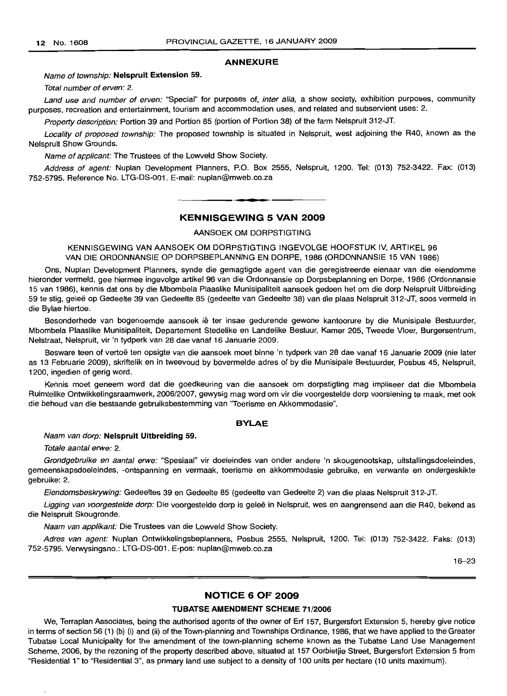#### **ANNEXURE**

#### Name of township: **Nelspruit Extension** 59.

Total number of erven: 2.

Land use and number of erven: "Special" for purposes of, inter alia, a show society, exhibition purposes, community purposes, recreation and entertainment, tourism and accommodation uses, and related and subservient uses: 2.

Property description: Portion 39 and Portion 85 (portion of Portion 38) of the farm Nelspruit 312-JT.

Locality of proposed township: The proposed township is situated in Nelspruit, west adjoining the R40, known as the Nelspruit Show Grounds.

Name of applicant: The Trustees of the Lowveld Show Society.

Address of agent: Nuplan Development Planners, P.O. Box 2555, Nelspruit, 1200. Tel: (013) 752-3422. Fax: (013) 752-5795. Reference No. LTG-DS-001. E-mail: nuplan@mweb.co.za

**- KENNISGEWING <sup>5</sup> VAN <sup>2009</sup>**

AANSOEK OM DORPSTIGTING

KENNISGEWING VAN AANSOEK OM DORPSTIGTING INGEVOLGE HOOFSTUK IV, ARTIKEL 96 VAN DIE ORDONNANSIE OP DORPSBEPLANNING EN DORPE, 1986 (ORDONNANSIE 15 VAN 1986)

Ons, Nuplan Development Planners, synde die gemagtigde agent van die geregistreerde eienaar van die eiendomme hieronder vermeld, gee hiermee ingevolge artikel 96 van die Ordonnansie op Dorpsbeplanning en Dorpe, 1986 (Ordonnansie 15 van 1986), kennis dat ons by die Mbombela Plaaslike Munisipaliteit aansoek gedoen het om die dorp Nelspruit Uitbreiding 59 te stig, gelee op Gedee/te 39 van Gedeelte 85 (gedeelte van Gedeelte 38) van die plaas Nelspruit 312-JT, soos vermeld in die Bylae hiertoe.

Besonderhede van bogenoemde aansoek lê ter insae gedurende gewone kantoorure by die Munisipale Bestuurder, Mbombela Plaaslike Munisipaliteit, Departement Stedelike en Landelike Bestuur, Kamer 205, Tweede Vloer, Burgersentrum, Nelstraat, Nelspruit, vir 'n tydperk van 28 dae vanaf 16 Januarie 2009.

Besware teen of vertoe ten opsigte van die aansoek moet binne 'n tydperk van 28 dae vanaf 16 Januarie 2009 (nie later as 13 Februarie 2009), skriftelik en in tweevoud by bovermelde adres of by die Munisipale Bestuurder, Posbus 45, Nelspruit, 1200, ingedien of gerig word.

Kennis moet geneem word dat die goedkeuring van die aansoek om dorpstigting mag impliseer dat die Mbombela Ruimtelike Ontwikkelingsraamwerk, 2006/2007, gewysig mag word om vir die voorgestelde dorp voorsiening te maak, met ook die behoud van die bestaande gebruiksbestemming van 'Toerisme en Akkommodasie".

# **BYLAE**

#### Naam van dorp: **Nelspruit Uitbreiding** 59.

Totale aantal erwe: 2.

Grondgebruike en aantal erwe: "Spesiaal" vir doeleindes van onder andere 'n skougenootskap, uitstallingsdoeleindes, gemeenskapsdoeleindes, -ontspanning en vermaak, toerisme en akkommodasie gebruike, en verwante en ondergeskikte gebruike: 2.

Eiendomsbeskrywing: Gedeeltes 39 en Gedeelte 85 (gedeelte van Gedeelte 2) van die plaas Nelspruit 312-JT.

Ligging van voorgestelde dorp: Die voorgestelde dorp is geleë in Nelspruit, wes en aangrensend aan die R40, bekend as die Nelspruit Skougronde.

Naam van applikant: Die Trustees van die Lowveld Show Society.

Adres van agent: Nuplan Ontwikkelingsbeplanners, Posbus 2555, Nelspruit, 1200. Tel: (013) 752-3422. Faks: (013) 752-5795. Verwysingsno.: LTG-DS-001. E-pos: nuplan@mweb.co.za

16-23

#### **NOTICE 6 OF 2009**

# **TUBATSE AMENDMENT SCHEME** 71/2006

We, Terraplan Associates, being the authorised agents of the owner of Erf 157, Burgersfort Extension 5, hereby give notice in terms of section 56 (1) (b) (i) and (ii) of the Town-planning and Townships Ordinance, 1986, that we have applied to the Greater Tubatse Local Municipality for the amendment of the town-planning scheme known as the Tubatse Land Use Management Scheme, 2006, by the rezoning of the property described above, situated at 157 Oorbietjie Street, Burgersfort Extension 5 from "Residential 1" to "Residential 3", as primary land use subject to a density of 100 units per hectare (10 units maximum).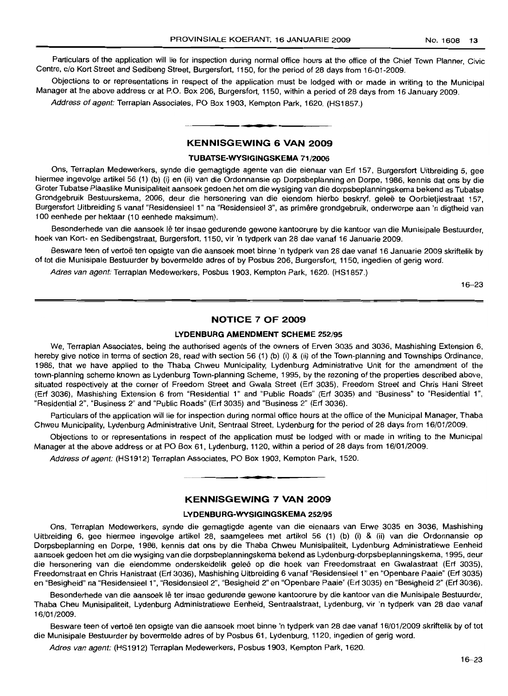Particulars of the application will lie for inspection during normal office hours at the office of the Chief Town Planner, Civic Centre, c/o Kort Street and Sedibeng Street, Burgersfort, 1150, for the period of 28 days from 16-01-2009.

Objections to or representations in respect of the application must be lodged with or made in writing to the Municipal Manager at the above address or at P.O. Box 206, Burgersfort, 1150, within a period of 28 days from 16 January 2009.

Address of agent: Terraplan Associates, PO Box 1903, Kempton Park, 1620. (HS1857.)

# **KENNISGEWING 6 VAN 2009**

**•**

# **TUBATSE-WYSIGINGSKEMA** ')'1/2006

Ons, Terraplan Medewerkers, synde die gemagtigde agente van die eienaar van Erf 157, Burgersfort Uitbreiding 5, gee hiermee ingevolge artikel 56 (1) (b) (i) en (ii) van die Ordonnansie op Dorpsbeplanning en Dorpe, 1986, kennis dat ons by die Groter Tubatse Plaaslike Munisipaliteit aansoek gedoen het om die wysiging van die dorpsbeplanningskema bekend as Tubatse Grondgebruik Bestuurskema, 2006, deur die hersonering van die eiendom hierbo beskryf, gelee te Oorbietjiestraat 157, Burgersfort Uitbreiding 5 vanaf "Residensieel 1" na "Residensieel 3", as primêre grondgebruik, onderworpe aan 'n digtheid van 100 eenhede per hektaar (10 eenhede maksimum).

Besonderhede van die aansoek lê ter insae gedurende gewone kantoorure by die kantoor van die Munisipale Bestuurder, hoek van Kort- en Sedibengstraat, Burgersfort, 1150, vir 'n tydperk van 28 dae vanaf 16 Januarie 2009.

Besware teen of vertoë ten opsigte van die aansoek moet binne 'n tydperk van 28 dae vanaf 16 Januarie 2009 skriftelik by of tot die Munisipale Bestuurder by bovermelde adres of by Posbus 206, Burgersfort, 1150, ingedien of gerig word.

Adres van agent: Terraplan Medewerkers, Posbus 1903, Kempton Park, 1620. (HS1857.)

16-23

# **NOTICE 7 OF 200H**

# **LYDENBURG AMENDMENT SCHEME** 252/95

We, Terraplan Associates, being the authorised agents of the owners of Erven 3035 and 3036, Mashishing Extension 6, hereby give notice in terms of section 28, read with section 56 (1) (b) (i) & (ii) of the Town-planning and Townships Ordinance, 1986, that we have applied to the Thaba Chweu Municipality, Lydenburg Administrative Unit for the amendment of the town-planning scheme known as Lydenburg Town-planning Scheme, 1995, by the rezoning of the properties described above, situated respectively at the corner of Freedom Street and Gwala Street (Erf 3035), Freedom Street and Chris Hani Street (Erf 3036), Mashishing Extension 6 from "Residential 1" and "Public Roads" (Erf 3035) and "Business" to "Residential 1",  $"R$ esidential 2", "Business 2" and "Public Roads" (Erf 3035) and "Business 2" (Erf 3036).

Particulars of the application will lie for inspection during normal office hours at the office of the Municipal Manager. Thaba Chweu Municipality, Lydenburg Administrative Unit, Sentraal Street, Lydenburg for the period of 28 days from 16/01/2009.

Objections to or representations in respect of the application must be lodged with or made in writing to the Municipal Manager at the above address or at PO Box 61, Lydenburg, 1120, within a period of 28 days from 16/01/2009.

Address of agent: (HS1912) Terraplan Associates, PO Box 1903, Kempton Park, 1520.

# **KENNISGEWING 7 VAN 2009**

**• •**

# **LYDENBURG-WYSIGINGSKEMA** 252/95

Ons, Terraplan Medewerkers, synde die gemagtigde agente van die eienaars van Erwe 3035 en 3036, Mashishing Uitbreiding 6, gee hiermee ingevolge artikel 28, saamgelees met artikel 56 (1) (b) (i) & (ii) van die Ordonnansie op Dorpsbeplanning en Dorpe, 1986, kennis dat ons by die Thaba Chweu Munisipaliteit, Lydenburg Administratiewe Eenheid aansoek gedoen het om die wysiging van die dorpsbeplanningskema bekend as Lydenburg-dorpsbeplanningskema, 1995, deur die hersonering van die eiendomme onderskeidelik geleë op die hoek van Freedomstraat en Gwalastraat (Erf 3035), Freedomstraat en Chris Hanistraat (Erf 3036), Mashishing Uitbreiding 6 vanaf "Residensieel 1" en "Openbare Paaie" (Erf 3035) en "Besigheid" na "Residensieel1 ", "Residensieel 2", "Besigheid 2" en "Openbare Paaie" (Erf 3035) en "Besigheid 2" (Erf 3036).

Besonderhede van die aansoek lê ter insae gedurende gewone kantoorure by die kantoor van die Munisipale Bestuurder, Thaba Cheu Munisipaliteit, Lydenburg Administratiewe Eenheid, Sentraalstraat, Lydenburg, vir 'n tydperk van 28 dae vanaf 16/01/2009.

Besware teen of vertoë ten opsigte van die aansoek moet binne 'n tydperk van 28 dae vanaf 16/01/2009 skriftelik by of tot die Munisipale Bestuurder by bovermelde adres of by Posbus 61, Lydenburg, 1120, ingedien of gerig word.

Adres van agent: (HS1912) Terraplan Medewerkers, Posbus 1903, Kempton Park, 1620.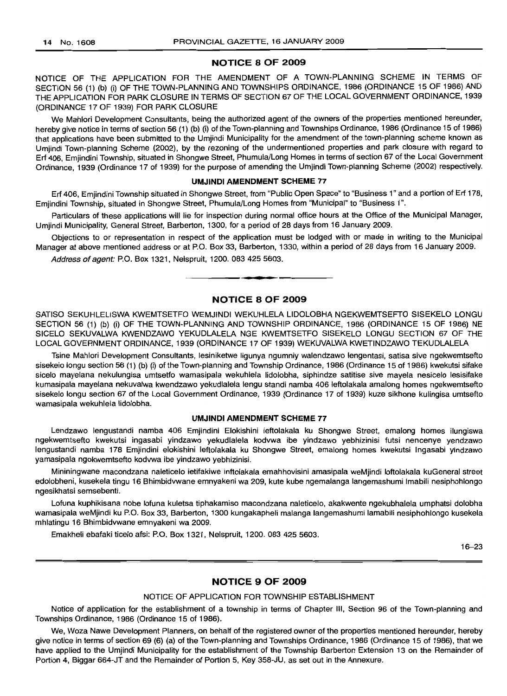# **NOTICE 8 OF 2009**

NOTICE OF THE APPLICATION FOR THE AMENDMENT OF A TOWN-PLANNING SCHEME IN TERMS OF SECTION 56 (1) (b) (i) OF THE TOWN-PLANNING AND TOWNSHIPS ORDINANCE, 1986 (ORDINANCE 15 OF 1986) AND THE APPLICATION FOR PARK CLOSURE IN TERMS OF SECTION 67 OF THE LOCAL GOVERNMENT ORDINANCE, 1939 (ORDINANCE 17 OF 1939) FOR PARK CLOSURE

We Mahlori Development Consultants, being the authorized agent of the owners of the properties mentioned hereunder, hereby give notice in terms of section 56 (1) (b) (i) of the Town-planning and Townships Ordinance, 1986 (Ordinance 15 of 1986) that applications have been submitted to the Umjindi Municipality for the amendment of the town-planning scheme known as Umjindi Town-planning Scheme (2002), by the rezoning of the undermentioned properties and park closure with regard to Erf 406, Emjindini Township, situated in Shongwe Street, Phumula/Long Homes in terms of section 67 of the Local Government Ordinance, 1939 (Ordinance 17 of 1939) for the purpose of amending the Umjindi Town-planning Scheme (2002) respectively.

# **UMJINDI AMENDMENT SCHEME** 77

Erf 406, Emjindini Township situated in Shongwe Street, from "Public Open Space" to "Business 1" and a portion of Erf 178, Emjindini Township, situated in Shongwe Street, Phumula/Long Homes from "Municipal" to "Business 1".

Particulars of these applications will lie for inspection during normal office hours at the Office of the Municipal Manager, Umjindi Municipality, General Street, Barberton, 1300, for a period of 28 days from 16 January 2009.

Objections to or representation in respect of the application must be lodged with or made in writing to the Municipal Manager at above mentioned address or at P.O. Box 33, Barberton, 1330, within a period of 28 days from 16 January 2009.

Address of agent: P.O. Box 1321, Nelspruit, 1200. 083 425 5603.

# **NOTICE 8 OF 2009**

**•**

SATISO SEKUHLELISWA KWEMTSETFO WEMJINDI WEKUHLELA L1DOLOBHA NGEKWEMTSEFTO SISEKELO LONGU SECTION 56 (1) (b) (i) OF THE TOWN-PLANNING AND TOWNSHIP ORDINANCE, 1986 (ORDINANCE 15 OF 1986) NE SICELO SEKUVALWA KWENDZAWO YEKUDLALELA NGE KWEMTSETFO SISEKELO LONGU SECTION 67 OF THE LOCAL GOVERNMENT ORDINANCE, 1939 (ORDINANCE 17 OF 1939) WEKUVALWA KWETINDZAWO TEKUDLALELA

Tsine Mahlori Development Consultants, lesiniketwe Iigunya ngumniy walendzawo lengentasi, satisa sive ngekwemtsefto sisekeio longu section 56 (1) (b) (i) of the Town-planning and Township Ordinance, 1986 (Ordinance 15 of 1986) kwekutsi sifake sicelo mayelana nekulungisa umtsetfo wamasipala wekuhlela lidolobha, siphindze satitise sive mayela nesicelo lesisifake kumasipala mayelana nekuvalwa kwendzawo yekudlalela lengu standi namba 406 leftolakala amalong homes ngekwemtsefto sisekelo longu section 67 of the Local Government Ordinance, 1939 (Ordinance 17 of 1939) kuze sikhone kulingisa umtsefto wamasipala wekuhlela lidolobha.

# **UMJINDI AMENDMENT SCHEME** 77

Lendzawo lengustandi namba 406 Emjindini Elokishini leftolakala ku Shongwe Street, emalong homes ilungiswa ngekwemtsefto kwekutsi ingasabi yindzawo yekudlalela kodvwa ibe yindzawo yebhizinisi futsi nencenye yendzawo lengustandi namba 178 Emjindini elokishini leftolakala ku Shongwe Street, emalong homes kwekutsi Ingasabi yindzawo yamasipala ngokwemtsefto kodvwa ibe yindzawo yebhizinisi.

Mininingwane macondzana na/eticelo ietifakiwe inftolakala emahhovisini amasipala weMjindi loftolakala kuGeneral street edolobheni, kusekela tingu 16 Bhimbidvwane emnyakeni wa 209, kute kube ngemalanga langemashumi Imabili nesiphohlongo ngesikhatsi semsebenti.

Lofuna kuphikisana nobe lofuna kuletsa tiphakamiso macondzana naleticelo, akakwente ngekubhalela umphatsi dolobha wamasipala weMjindi ku P.O. Box 33, Barberton, 1300 kungakapheli malanga langemashumi lamabili nesiphohlongo kusekela mhlatingu 16 Bhimbidvwane emnyakeni wa 2009.

Emakheli ebafaki ticelo afsi: P.O. Box 1321, Nelspruit, 1200. 083 425 5603.

16-23

# **NOTICE 9 OF 2009**

# NOTICE OF APPLICATION FOR TOWNSHIP ESTABLISHMENT

Notice of application for the establishment of a township in terms of Chapter III, Section 96 of the Town-planning and Townships Ordinance, 1986 (Ordinance 15 of 1986).

We, Woza Nawe Development Planners, on behalf of the registered owner of the properties mentioned hereunder, hereby give notice in terms of section 69 (6) (a) of the Town-planning and Townships Ordinance, 1986 (Ordinance 15 of 1986), that we have applied to the Umjindi Municipality for the establishment of the Township Barberton Extension 13 on the Remainder of Portion 4, Biggar 664-JT and the Remainder of Portion 5, Key 358-JU, as set out in the Annexure.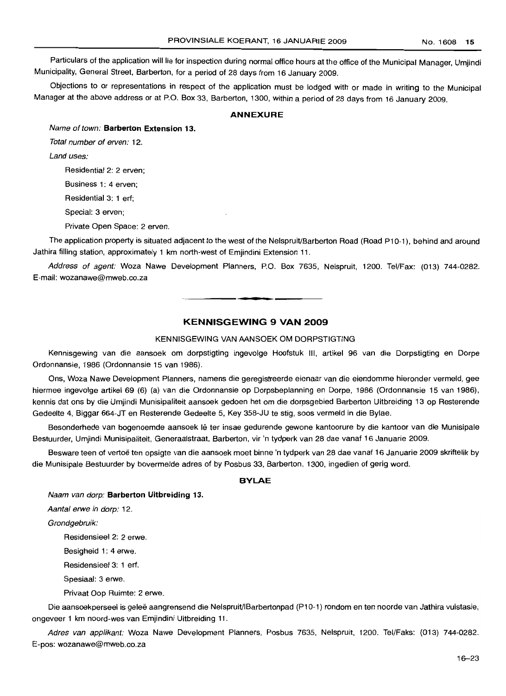Particulars of the application will lie for inspection during normal office hours at the office of the Municipal Manager, Umjindi Municipality, General Street, Barberton, for a period of 28 days from 16 January 2009.

Objections to or representations in respect of the application must be lodged with or made in writing to the Municipal Manager at the above address or at P.O. Box 33, Barberton, 1300, within a period of 28 days from 16 January 2009.

# **ANNEXURE**

Name of town: **Barberton Extension 13.**

Total number of erven: 12.

Land uses:

Residential 2: 2 erven;

Business 1: 4 erven;

Residential 3: 1 erf;

Special: 3 erven;

Private Open Space: 2 erven.

The application property is situated adjacent to the west of the Nelspruit/Barberton Road (Road P10-1), behind and around Jathira filling station, approximately 1 km north-west of Emjindini Extension 11.

Address of agent: Woza Nawe Development Planners, P.O. Box 7635, Nelspruit, 1200. Tel/Fax: (013) 744-0282. E-mail: wozanawe@mweb.co.za **-.**

# **KENNISGEWING 9 VAN 2009**

# KENNISGEWING VAN AANSOEK OM DORPSTIGTING

Kennisgewing van die aansoek om dorpstigting ingevolge Hoofstuk III, artikel 96 van die Dorpstigting en Dorpe Ordonnansie, 1986 (Ordonnansie 15 van 1986).

Ons, Woza Nawe Development Planners, namens die geregistreerde eienaar van die eiendomme hieronder vermeld, gee hiermee ingevolge artikel 69 (6) (a) van die Ordonnansie op Dorpsbeplanning en Dorpe, 1986 (Ordonnansie 15 van 1986), kennis dat ons by die Umjindi Munisipaliteit aansoek gedoen het om die dorpsgebied Barberton Uitbreiding 13 op Resterende Gedeelte 4, Biggar 664-JT en Resterende Gedeelte 5, Key 358-JU te stig, soos vermeld in die Bylae.

Besonderhede van bogenoemde aansoek lê ter insae gedurende gewone kantoorure by die kantoor van die Munisipale Bestuurder, Umjindi Munisipatiteit, Generaalstraat, Barberton, vir 'n tydperk van 28 dae vanaf 16 Januarie 2009.

Besware teen of vertoë ten opsigte van die aansoek moet binne 'n tydperk van 28 dae vanaf 16 Januarie 2009 skriftelik by die Munisipale Bestuurder by bovermelde adres of by Posbus 33, Barberton, 1300, ingedien of gerig word.

# **BVLAE**

Naam van dorp: **Barberton Uitbreiding 13.**

Aantal erwe in dorp: 12.

Grondgebruik:

Residensieel 2: 2 erwe.

Besigheid 1: 4 erwe.

Residensieel 3: 1 erf.

Spesiaal: 3 erwe.

Privaat Oop Ruimte: 2 erwe.

Die aansoekperseel is geleë aangrensend die Nelspruit/IBarbertonpad (P10-1) rondom en ten noorde van Jathira vulstasie. ongeveer 1 km noord-wes van Emjindini Uitbreiding 11.

Adres van applikant: Woza Nawe Development Planners, Posbus 7635, Nelspruit, 1200. Tel/Faks: (013) 744-0282. E-pos: wozanawe@mweb.co.za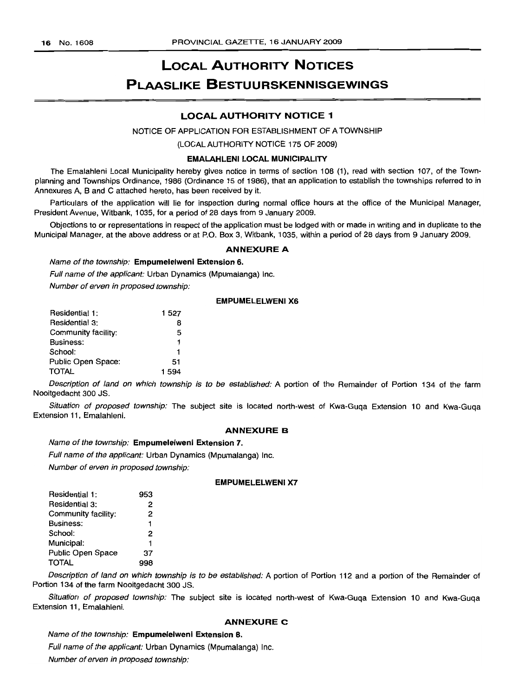# LOCAL AUTHORITY NOTICES PLAASLIKE BESTUURSKENNISGEWINGS

# LOCAL AUTHORITY NOTICE 1

#### NOTICE OF APPLICATION FOR ESTABLISHMENT OF A TOWNSHIP

(LOCAL AUTHORITY NOTICE 175 OF 2009)

#### EMALAHLENI LOCAL MUNICIPALITY

The Emalahleni Local Municipality hereby gives notice in terms of section 108 (1), read with section 107, of the Townplanning and Townships Ordinance, 1986 (Ordinance 15 of 1986), that an application to establish the townships referred to in Annexures A, Band C attached hereto, has been received by it.

Particulars of the application will lie for inspection during normal office hours at the office of the Municipal Manager, President Avenue, Witbank, 1035, for a period of 28 days from 9 January 2009.

Objections to or representations in respect of the application must be lodged with or made in writing and in duplicate to the Municipal Manager, at the above address or at P.O. Box 3, Witbank, 1035, within a period of 28 days from 9 January 2009.

# ANNEXURE A

Name of the township: Empumelelweni Extension 6.

Full name of the applicant: Urban Dynamics (Mpumalanga) Inc.

Number of erven in proposed township:

# EMPUMELELWENI X6

| Residential 1:      | 1527  |
|---------------------|-------|
| Residential 3:      | 8     |
| Community facility: | 5     |
| Business:           | 1     |
| School:             | 1     |
| Public Open Space:  | 51    |
| <b>TOTAL</b>        | 1.594 |

Description of land on which township is to be established: A portion of the Remainder of Portion 134 of the farm Nooitgedacht 300 JS.

Situation of proposed township: The subject site is located north-west of Kwa-Guqa Extension 10 and Kwa-Guqa Extension 11, Emalahleni.

#### ANNEXURE B

Name of the township: Empumelelweni Extension 7.

Full name of the applicant: Urban Dynamics (Mpumalanga) Inc.

Number of erven in proposed township:

### EMPUMELELWENI X7

| Residential 1:      | 953 |
|---------------------|-----|
| Residential 3:      | 2   |
| Community facility: | 2   |
| Business:           | 1   |
| School:             | 2   |
| Municipal:          | 1   |
| Public Open Space   | 37  |
| <b>TOTAL</b>        |     |

Description of land on which township is to be established: A portion of Portion 112 and a portion of the Remainder of Portion 134 of the farm Nooitgedacht 300 JS.

Situation of proposed township: The subject site is located north-west of Kwa-Guqa Extension 10 and Kwa-Guqa Extension 11, Emalahleni.

#### ANNEXURE C

Name of the township: Empumelelweni Extension B. Full name of the applicant: Urban Dynamics (Mpumalanga) Inc. Number of erven in proposed township: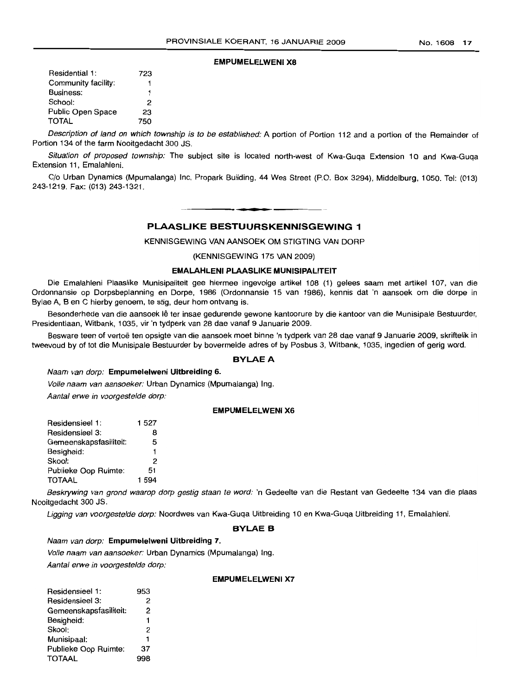### **EMPUMELELWENI X8**

| Residential 1:      | 723 |
|---------------------|-----|
| Community facility: | 1   |
| Business:           | 1   |
| School:             | 2   |
| Public Open Space   | 23  |
| <b>TOTAL</b>        | 750 |

Description of land on which township is to be established: A portion of Portion 112 and a portion of the Remainder of Portion 134 of the farm Nooitgedacht 300 JS.

Situation of proposed township: The subject site is located north-west of Kwa-Guqa Extension 10 and Kwa-Guqa Extension 11, Emalahleni.

C/o Urban Dynamics (Mpumalanga) Inc, Propark Building, 44 Wes Street (P.O. Box 3294), Middelburg, 1050. Tel: (013) 243-1219. Fax: (013) 243-1321.

# **PLAASLIKE BESTUURSKENNISGEWING 1**

**.-**

KENNISGEWING VAN AANSOEK OM STIGTING VAN DORP

(KENNISGEWING 175 VAN 2009)

# **EMALAHLENI PLAASLIKE MUNISIPALITEIT**

Die Emalahleni Plaaslike Munisipaliteit gee hiermee ingevolge artikel 108 (1) gelees saam met artikel 107, van die Ordonnansie op Dorpsbeplanning en Dorpe, 1986 (Ordonnansie 15 van 1986), kennis dat 'n aansoek om die dorpe in Bylae A, B en C hierby genoem, te stig, deur hom ontvang is.

Besonderhede van die aansoek lê ter insae gedurende gewone kantoorure by die kantoor van die Munisipale Bestuurder, Presidentlaan, Witbank, 1035, vir 'n tydperk van 28 dae vanaf 9 Januarie 2009.

Besware teen of vertoë ten opsigte van die aansoek moet binne 'n tydperk van 28 dae vanaf 9 Januarie 2009, skriftelik in tweevoud by of tot die Munisipale Bestuurder by bovermelde adres of by Posbus 3, Witbank, 1035, ingedien of gerig word.

#### **BYLAEA**

#### Naam van dorp: **Empumelelweni Uitbreiding 6.**

Volle naam van aansoeker: Urban Dynamics (Mpumalanga) Ing.

Aantal erwe in voorgestelde dorp:

#### **EMPUMELELWENI X6**

| Residensieel 1:        | 1527 |
|------------------------|------|
| Residensieel 3:        | 8    |
| Gemeenskapsfasiliteit: | 5    |
| Besigheid:             | 1    |
| Skool:                 | 2    |
| Publieke Oop Ruimte:   | 51   |
| TOTAAL                 | 1594 |
|                        |      |

Beskrywing van grond waarop dorp gestig staan te word: 'n Gedeelte van die Restant van Gedeelte 134 van die plaas Nooitgedacht 300 JS.

Ligging van voorgestelde dorp: Noordwes van Kwa-Guqa Uitbreiding 10 en Kwa-Guqa Uitbreiding 11, Emalahleni.

#### **BYLAE B**

Naam van dorp: **Empumelelweni Uitbreiding 7.**

Volle naam van aansoeker: Urban Dynamics (Mpumalanga) Ing.

Aantal erwe in voorgestelde dorp:

#### **EMPUMELELWENI X7**

| Residensieel 1:        | 953 |
|------------------------|-----|
| Residensieel 3:        | 2   |
| Gemeenskapsfasiliteit: | 2   |
| Besigheid:             | 1   |
| Skool:                 | 2   |
| Munisipaal:            | 1   |
| Publieke Oop Ruimte:   | 37  |
| TOTAAL                 | 998 |
|                        |     |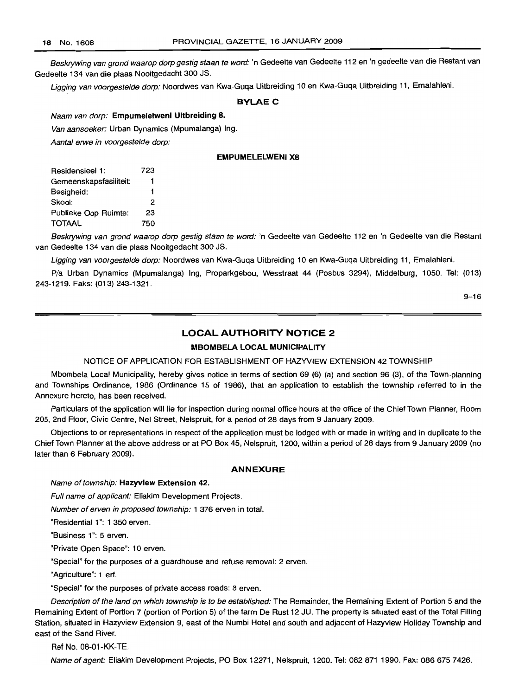Beskrywing van grond waarop dorp gestig staan te word: 'n Gedeelte van Gedeelte 112 en 'n gedeelte van die Restant van Gedeelte 134 van die plaas Nooitgedacht 300 JS.

Ligging van voorgestelde dorp: Noordwes van Kwa-Guqa Uitbreiding 10 en Kwa-Guqa Uitbreiding 11, Emalahleni.

# **BYLAE C**

Naam van dorp: **Empumelelweni Uitbreiding 8.**

Van aansoeker: Urban Dynamics (Mpumalanga) Ing.

Aantal erwe in voorgestelde dorp:

# **EMPUMELELWENI X8**

| 723 |
|-----|
|     |
| 1   |
| 2   |
| 23  |
| 750 |
|     |

Beskrywing van grond waarop dorp gestig staan te word: 'n Gedeelte van Gedeelte 112 en 'n Gedeelte van die Restant van Gedeelte 134 van die plaas Nooitgedacht 300 JS.

Ligging van voorgestelde dorp: Noordwes van Kwa-Guqa Uitbreiding 10 en Kwa-Guqa Uitbreiding 11, Emalahleni.

*Pia* Urban Dynamics (Mpumalanga) lng, Proparkgebou, Wesstraat 44 (Posbus 3294), Middelburg, 1050. Tel: (013) 243-1219. Faks: (013) 243-1321.

9-16

# **LOCAL AUTHORITY NOTICE 2**

# **MBOMBELA LOCAL MUNICIPALITY**

NOTICE OF APPLICATION FOR ESTABLISHMENT OF HAZYVIEW EXTENSION 42 TOWNSHIP

Mbombela Local Municipality, hereby gives notice in terms of section 69 (6) (a) and section 96 (3), of the Town-planning and Townships Ordinance, 1986 (Ordinance 15 of 1986), that an application to establish the township referred to in the Annexure hereto, has been received.

Particulars of the application will lie for inspection during normal office hours at the office of the Chief Town Planner, Room 205, 2nd Floor, Civic Centre, Nel Street, Nelspruit, for a period of 28 days from 9 January 2009.

Objections to or representations in respect of the application must be lodged with or made in writing and in duplicate to the Chief Town Planner at the above address or at PO Box 45, Nelspruit, 1200, within a period of 28 days from 9 January 2009 (no later than 6 February 2009).

# **ANNEXURE**

#### Name of township: **Hazyview Extension** 42.

Full name of applicant: Eliakim Development Projects.

Number of erven in proposed township: 1 376 erven in total.

"Residential 1"; 1 350 erven.

"Business 1": 5 erven.

"Private Open Space": 10 erven.

"Special" for the purposes of a guardhouse and refuse removal: 2 erven.

"Agriculture": 1 ert.

"Special" for the purposes of private access roads: 8 erven.

Description of the land on which township is to be established: The Remainder, the Remaining Extent of Portion 5 and the Remaining Extent of Portion 7 (portion of Portion 5) of the farm De Rust 12 JU. The property is situated east of the Total Filling Station, situated in Hazyview Extension 9, east of the Numbi Hotel and south and adjacent of Hazyview Holiday Township and east of the Sand River.

Ref No. 08-01-KK-TE.

Name of agent: Eliakim Development Projects, PO Box 12271, Nelspruit, 1200. Tel: 082 871 1990. Fax; 086 675 7426.